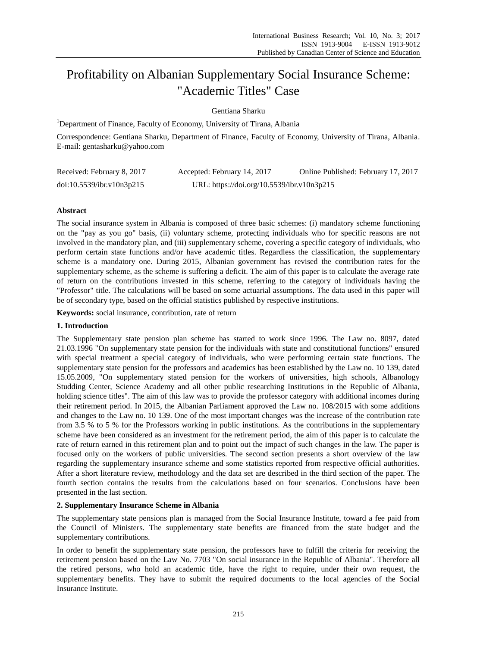# Profitability on Albanian Supplementary Social Insurance Scheme: "Academic Titles" Case

Gentiana Sharku

<sup>1</sup>Department of Finance, Faculty of Economy, University of Tirana, Albania

Correspondence: Gentiana Sharku, Department of Finance, Faculty of Economy, University of Tirana, Albania. E-mail: gentasharku@yahoo.com

| Received: February 8, 2017 | Accepted: February 14, 2017                | Online Published: February 17, 2017 |
|----------------------------|--------------------------------------------|-------------------------------------|
| doi:10.5539/ibr.v10n3p215  | URL: https://doi.org/10.5539/ibr.v10n3p215 |                                     |

# **Abstract**

The social insurance system in Albania is composed of three basic schemes: (i) mandatory scheme functioning on the "pay as you go" basis, (ii) voluntary scheme, protecting individuals who for specific reasons are not involved in the mandatory plan, and (iii) supplementary scheme, covering a specific category of individuals, who perform certain state functions and/or have academic titles. Regardless the classification, the supplementary scheme is a mandatory one. During 2015, Albanian government has revised the contribution rates for the supplementary scheme, as the scheme is suffering a deficit. The aim of this paper is to calculate the average rate of return on the contributions invested in this scheme, referring to the category of individuals having the "Professor" title. The calculations will be based on some actuarial assumptions. The data used in this paper will be of secondary type, based on the official statistics published by respective institutions.

**Keywords:** social insurance, contribution, rate of return

# **1. Introduction**

The Supplementary state pension plan scheme has started to work since 1996. The Law no. 8097, dated 21.03.1996 "On supplementary state pension for the individuals with state and constitutional functions" ensured with special treatment a special category of individuals, who were performing certain state functions. The supplementary state pension for the professors and academics has been established by the Law no. 10 139, dated 15.05.2009, "On supplementary stated pension for the workers of universities, high schools, Albanology Studding Center, Science Academy and all other public researching Institutions in the Republic of Albania, holding science titles". The aim of this law was to provide the professor category with additional incomes during their retirement period. In 2015, the Albanian Parliament approved the Law no. 108/2015 with some additions and changes to the Law no. 10 139. One of the most important changes was the increase of the contribution rate from 3.5 % to 5 % for the Professors working in public institutions. As the contributions in the supplementary scheme have been considered as an investment for the retirement period, the aim of this paper is to calculate the rate of return earned in this retirement plan and to point out the impact of such changes in the law. The paper is focused only on the workers of public universities. The second section presents a short overview of the law regarding the supplementary insurance scheme and some statistics reported from respective official authorities. After a short literature review, methodology and the data set are described in the third section of the paper. The fourth section contains the results from the calculations based on four scenarios. Conclusions have been presented in the last section.

# **2. Supplementary Insurance Scheme in Albania**

The supplementary state pensions plan is managed from the Social Insurance Institute, toward a fee paid from the Council of Ministers. The supplementary state benefits are financed from the state budget and the supplementary contributions.

In order to benefit the supplementary state pension, the professors have to fulfill the criteria for receiving the retirement pension based on the Law No. 7703 "On social insurance in the Republic of Albania". Therefore all the retired persons, who hold an academic title, have the right to require, under their own request, the supplementary benefits. They have to submit the required documents to the local agencies of the Social Insurance Institute.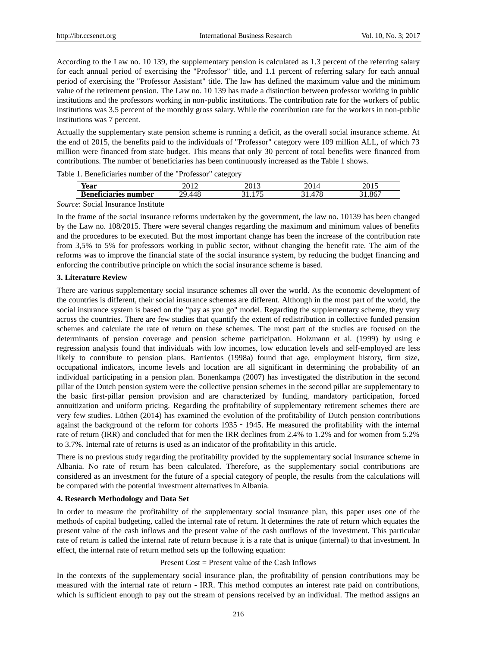According to the Law no. 10 139, the supplementary pension is calculated as 1.3 percent of the referring salary for each annual period of exercising the "Professor" title, and 1.1 percent of referring salary for each annual period of exercising the "Professor Assistant" title. The law has defined the maximum value and the minimum value of the retirement pension. The Law no. 10 139 has made a distinction between professor working in public institutions and the professors working in non-public institutions. The contribution rate for the workers of public institutions was 3.5 percent of the monthly gross salary. While the contribution rate for the workers in non-public institutions was 7 percent.

Actually the supplementary state pension scheme is running a deficit, as the overall social insurance scheme. At the end of 2015, the benefits paid to the individuals of "Professor" category were 109 million ALL, of which 73 million were financed from state budget. This means that only 30 percent of total benefits were financed from contributions. The number of beneficiaries has been continuously increased as the Table 1 shows.

Table 1. Beneficiaries number of the "Professor" category

| $-$                    | - - -           | $\bigcap_{1}$ |        | $\sim$ |
|------------------------|-----------------|---------------|--------|--------|
| Year                   | ----            | 20 I J        |        | 2012   |
| -<br>m<br>ner<br>D<br> | . .<br>76.<br>᠇ | $- -$         | $\sim$ | $-$    |

*Source*: Social Insurance Institute

In the frame of the social insurance reforms undertaken by the government, the law no. 10139 has been changed by the Law no. 108/2015. There were several changes regarding the maximum and minimum values of benefits and the procedures to be executed. But the most important change has been the increase of the contribution rate from 3,5% to 5% for professors working in public sector, without changing the benefit rate. The aim of the reforms was to improve the financial state of the social insurance system, by reducing the budget financing and enforcing the contributive principle on which the social insurance scheme is based.

# **3. Literature Review**

There are various supplementary social insurance schemes all over the world. As the economic development of the countries is different, their social insurance schemes are different. Although in the most part of the world, the social insurance system is based on the "pay as you go" model. Regarding the supplementary scheme, they vary across the countries. There are few studies that quantify the extent of redistribution in collective funded pension schemes and calculate the rate of return on these schemes. The most part of the studies are focused on the determinants of pension coverage and pension scheme participation. Holzmann et al. (1999) by using e regression analysis found that individuals with low incomes, low education levels and self-employed are less likely to contribute to pension plans. Barrientos (1998a) found that age, employment history, firm size, occupational indicators, income levels and location are all significant in determining the probability of an individual participating in a pension plan. Bonenkampa (2007) has investigated the distribution in the second pillar of the Dutch pension system were the collective pension schemes in the second pillar are supplementary to the basic first-pillar pension provision and are characterized by funding, mandatory participation, forced annuitization and uniform pricing. Regarding the profitability of supplementary retirement schemes there are very few studies. Lüthen (2014) has examined the evolution of the profitability of Dutch pension contributions against the background of the reform for cohorts 1935 - 1945. He measured the profitability with the internal rate of return (IRR) and concluded that for men the IRR declines from 2.4% to 1.2% and for women from 5.2% to 3.7%. Internal rate of returns is used as an indicator of the profitability in this article.

There is no previous study regarding the profitability provided by the supplementary social insurance scheme in Albania. No rate of return has been calculated. Therefore, as the supplementary social contributions are considered as an investment for the future of a special category of people, the results from the calculations will be compared with the potential investment alternatives in Albania.

## **4. Research Methodology and Data Set**

In order to measure the profitability of the supplementary social insurance plan, this paper uses one of the methods of capital budgeting, called the internal rate of return. It determines the rate of return which equates the present value of the cash inflows and the present value of the cash outflows of the investment. This particular rate of return is called the internal rate of return because it is a rate that is unique (internal) to that investment. In effect, the internal rate of return method sets up the following equation:

#### Present Cost = Present value of the Cash Inflows

In the contexts of the supplementary social insurance plan, the profitability of pension contributions may be measured with the internal rate of return - IRR. This method computes an interest rate paid on contributions, which is sufficient enough to pay out the stream of pensions received by an individual. The method assigns an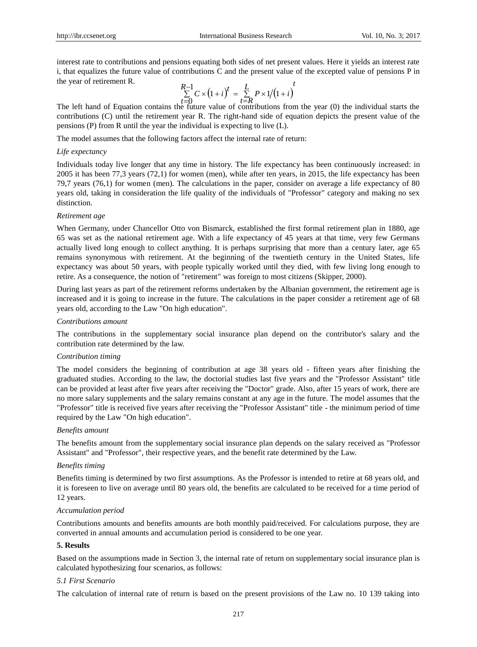interest rate to contributions and pensions equating both sides of net present values. Here it yields an interest rate i, that equalizes the future value of contributions C and the present value of the excepted value of pensions P in the year of retirement R.

$$
\sum_{t=0}^{R-1} C \times (1+i)^t = \sum_{t=R}^{L} P \times 1/(1+i)^t
$$

The left hand of Equation contains the future value of contributions from the year (0) the individual starts the contributions (C) until the retirement year R. The right-hand side of equation depicts the present value of the pensions (P) from R until the year the individual is expecting to live (L).

The model assumes that the following factors affect the internal rate of return:

# *Life expectancy*

Individuals today live longer that any time in history. The life expectancy has been continuously increased: in 2005 it has been 77,3 years (72,1) for women (men), while after ten years, in 2015, the life expectancy has been 79,7 years (76,1) for women (men). The calculations in the paper, consider on average a life expectancy of 80 years old, taking in consideration the life quality of the individuals of "Professor" category and making no sex distinction.

## *Retirement age*

When Germany, under Chancellor Otto von Bismarck, established the first formal retirement plan in 1880, age 65 was set as the national retirement age. With a life expectancy of 45 years at that time, very few Germans actually lived long enough to collect anything. It is perhaps surprising that more than a century later, age 65 remains synonymous with retirement. At the beginning of the twentieth century in the United States, life expectancy was about 50 years, with people typically worked until they died, with few living long enough to retire. As a consequence, the notion of "retirement" was foreign to most citizens (Skipper, 2000).

During last years as part of the retirement reforms undertaken by the Albanian government, the retirement age is increased and it is going to increase in the future. The calculations in the paper consider a retirement age of 68 years old, according to the Law "On high education".

#### *Contributions amount*

The contributions in the supplementary social insurance plan depend on the contributor's salary and the contribution rate determined by the law.

# *Contribution timing*

The model considers the beginning of contribution at age 38 years old - fifteen years after finishing the graduated studies. According to the law, the doctorial studies last five years and the "Professor Assistant" title can be provided at least after five years after receiving the "Doctor" grade. Also, after 15 years of work, there are no more salary supplements and the salary remains constant at any age in the future. The model assumes that the "Professor" title is received five years after receiving the "Professor Assistant" title - the minimum period of time required by the Law "On high education".

#### *Benefits amount*

The benefits amount from the supplementary social insurance plan depends on the salary received as "Professor Assistant" and "Professor", their respective years, and the benefit rate determined by the Law.

# *Benefits timing*

Benefits timing is determined by two first assumptions. As the Professor is intended to retire at 68 years old, and it is foreseen to live on average until 80 years old, the benefits are calculated to be received for a time period of 12 years.

#### *Accumulation period*

Contributions amounts and benefits amounts are both monthly paid/received. For calculations purpose, they are converted in annual amounts and accumulation period is considered to be one year.

## **5. Results**

Based on the assumptions made in Section 3, the internal rate of return on supplementary social insurance plan is calculated hypothesizing four scenarios, as follows:

#### *5.1 First Scenario*

The calculation of internal rate of return is based on the present provisions of the Law no. 10 139 taking into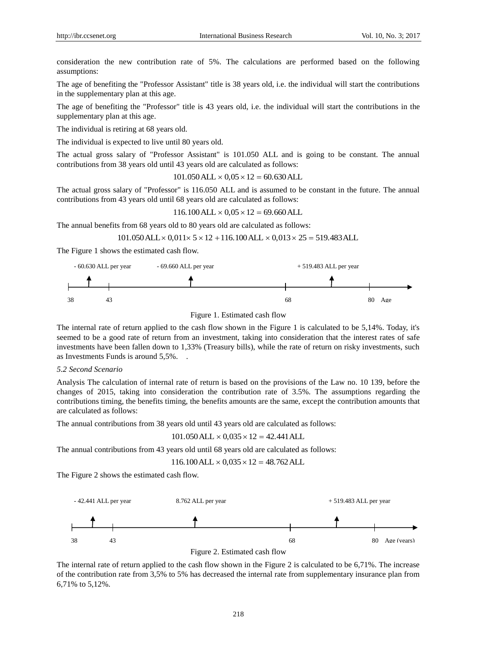consideration the new contribution rate of 5%. The calculations are performed based on the following assumptions:

The age of benefiting the "Professor Assistant" title is 38 years old, i.e. the individual will start the contributions in the supplementary plan at this age.

The age of benefiting the "Professor" title is 43 years old, i.e. the individual will start the contributions in the supplementary plan at this age.

The individual is retiring at 68 years old.

The individual is expected to live until 80 years old.

The actual gross salary of "Professor Assistant" is 101.050 ALL and is going to be constant. The annual contributions from 38 years old until 43 years old are calculated as follows:

 $101.050$  ALL  $\times$   $0.05 \times 12 = 60.630$  ALL

The actual gross salary of "Professor" is 116.050 ALL and is assumed to be constant in the future. The annual contributions from 43 years old until 68 years old are calculated as follows:

 $116.100$  ALL  $\times$  0,05  $\times$  12 = 69.660 ALL

The annual benefits from 68 years old to 80 years old are calculated as follows:

 $101.050$  ALL  $\times$  0,011 $\times$  5  $\times$  12 + 116.100 ALL  $\times$  0,013 $\times$  25 = 519.483 ALL

The Figure 1 shows the estimated cash flow.



Figure 1. Estimated cash flow

The internal rate of return applied to the cash flow shown in the Figure 1 is calculated to be 5,14%. Today, it's seemed to be a good rate of return from an investment, taking into consideration that the interest rates of safe investments have been fallen down to 1,33% (Treasury bills), while the rate of return on risky investments, such as Investments Funds is around 5,5%. .

# *5.2 Second Scenario*

Analysis The calculation of internal rate of return is based on the provisions of the Law no. 10 139, before the changes of 2015, taking into consideration the contribution rate of 3.5%. The assumptions regarding the contributions timing, the benefits timing, the benefits amounts are the same, except the contribution amounts that are calculated as follows:

The annual contributions from 38 years old until 43 years old are calculated as follows:

$$
101.050 \, ALL \times 0.035 \times 12 = 42.441 \, ALL
$$

The annual contributions from 43 years old until 68 years old are calculated as follows:

$$
116.100 \, ALL \times 0,035 \times 12 = 48.762 \, ALL
$$

The Figure 2 shows the estimated cash flow.



Figure 2. Estimated cash flow

The internal rate of return applied to the cash flow shown in the Figure 2 is calculated to be 6,71%. The increase of the contribution rate from 3,5% to 5% has decreased the internal rate from supplementary insurance plan from 6,71% to 5,12%.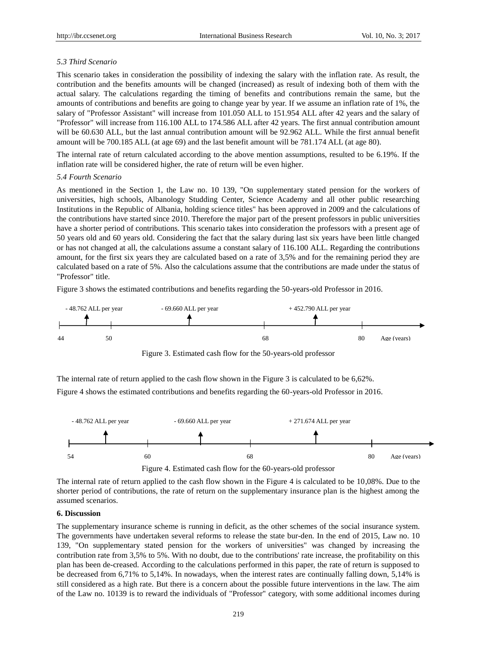# *5.3 Third Scenario*

This scenario takes in consideration the possibility of indexing the salary with the inflation rate. As result, the contribution and the benefits amounts will be changed (increased) as result of indexing both of them with the actual salary. The calculations regarding the timing of benefits and contributions remain the same, but the amounts of contributions and benefits are going to change year by year. If we assume an inflation rate of 1%, the salary of "Professor Assistant" will increase from 101.050 ALL to 151.954 ALL after 42 years and the salary of "Professor" will increase from 116.100 ALL to 174.586 ALL after 42 years. The first annual contribution amount will be 60.630 ALL, but the last annual contribution amount will be 92.962 ALL. While the first annual benefit amount will be 700.185 ALL (at age 69) and the last benefit amount will be 781.174 ALL (at age 80).

The internal rate of return calculated according to the above mention assumptions, resulted to be 6.19%. If the inflation rate will be considered higher, the rate of return will be even higher.

## *5.4 Fourth Scenario*

As mentioned in the Section 1, the Law no. 10 139, "On supplementary stated pension for the workers of universities, high schools, Albanology Studding Center, Science Academy and all other public researching Institutions in the Republic of Albania, holding science titles" has been approved in 2009 and the calculations of the contributions have started since 2010. Therefore the major part of the present professors in public universities have a shorter period of contributions. This scenario takes into consideration the professors with a present age of 50 years old and 60 years old. Considering the fact that the salary during last six years have been little changed or has not changed at all, the calculations assume a constant salary of 116.100 ALL. Regarding the contributions amount, for the first six years they are calculated based on a rate of 3,5% and for the remaining period they are calculated based on a rate of 5%. Also the calculations assume that the contributions are made under the status of "Professor" title.

Figure 3 shows the estimated contributions and benefits regarding the 50-years-old Professor in 2016.



Figure 3. Estimated cash flow for the 50-years-old professor

The internal rate of return applied to the cash flow shown in the Figure 3 is calculated to be 6,62%. Figure 4 shows the estimated contributions and benefits regarding the 60-years-old Professor in 2016.



The internal rate of return applied to the cash flow shown in the Figure 4 is calculated to be 10,08%. Due to the shorter period of contributions, the rate of return on the supplementary insurance plan is the highest among the assumed scenarios.

# **6. Discussion**

The supplementary insurance scheme is running in deficit, as the other schemes of the social insurance system. The governments have undertaken several reforms to release the state bur-den. In the end of 2015, Law no. 10 139, "On supplementary stated pension for the workers of universities" was changed by increasing the contribution rate from 3,5% to 5%. With no doubt, due to the contributions' rate increase, the profitability on this plan has been de-creased. According to the calculations performed in this paper, the rate of return is supposed to be decreased from 6,71% to 5,14%. In nowadays, when the interest rates are continually falling down, 5,14% is still considered as a high rate. But there is a concern about the possible future interventions in the law. The aim of the Law no. 10139 is to reward the individuals of "Professor" category, with some additional incomes during